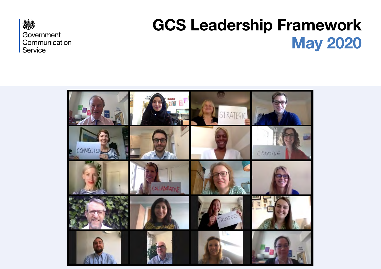

# GCS Leadership Framework May 2020

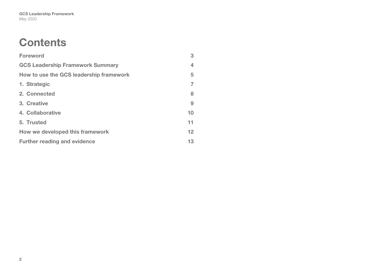### **Contents**

| <b>Foreword</b>                         | 3  |
|-----------------------------------------|----|
| <b>GCS Leadership Framework Summary</b> | 4  |
| How to use the GCS leadership framework | 5  |
| 1. Strategic                            | 7  |
| 2. Connected                            | 8  |
| 3. Creative                             | 9  |
| 4. Collaborative                        | 10 |
| 5. Trusted                              | 11 |
| How we developed this framework         | 12 |
| <b>Further reading and evidence</b>     | 13 |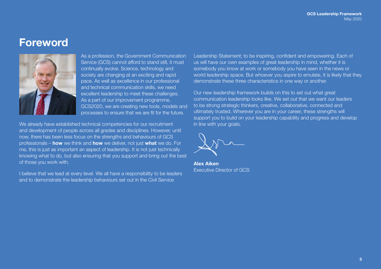### <span id="page-2-0"></span>Foreword



As a profession, the Government Communication Service (GCS) cannot afford to stand still, it must continually evolve. Science, technology and society are changing at an exciting and rapid pace. As well as excellence in our professional and technical communication skills, we need excellent leadership to meet these challenges. As a part of our improvement programme, GCS2020, we are creating new tools, models and processes to ensure that we are fit for the future.

We already have established technical competencies for our recruitment and development of people across all grades and disciplines. However, until now, there has been less focus on the strengths and behaviours of GCS professionals – how we think and how we deliver, not just what we do. For me, this is just as important an aspect of leadership. It is not just technically knowing what to do, but also ensuring that you support and bring out the best of those you work with.

I believe that we lead at every level. We all have a responsibility to be leaders and to demonstrate the leadership behaviours set out in the Civil Service

Leadership Statement; to be inspiring, confident and empowering. Each of us will have our own examples of great leadership in mind, whether it is somebody you know at work or somebody you have seen in the news or world leadership space. But whoever you aspire to emulate, it is likely that they demonstrate these three characteristics in one way or another.

Our new leadership framework builds on this to set out what great communication leadership looks like. We set out that we want our leaders to be strong strategic thinkers, creative, collaborative, connected and ultimately trusted. Wherever you are in your career, these strengths will support you to build on your leadership capability and progress and develop in line with your goals.

Alex Aiken Executive Director of GCS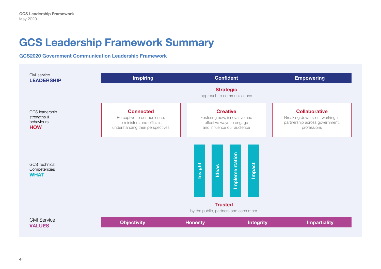### <span id="page-3-0"></span>GCS Leadership Framework Summary

GCS2020 Government Communication Leadership Framework

| Civil service<br><b>LEADERSHIP</b>                               | <b>Inspiring</b>                                                                                                   | <b>Confident</b>                                                                                           |                  | <b>Empowering</b>                                                                                        |  |
|------------------------------------------------------------------|--------------------------------------------------------------------------------------------------------------------|------------------------------------------------------------------------------------------------------------|------------------|----------------------------------------------------------------------------------------------------------|--|
|                                                                  | <b>Strategic</b><br>approach to communications                                                                     |                                                                                                            |                  |                                                                                                          |  |
| <b>GCS</b> leadership<br>strengths &<br>behaviours<br><b>HOW</b> | <b>Connected</b><br>Perceptive to our audience,<br>to ministers and officials,<br>understanding their perspectives | <b>Creative</b><br>Fostering new, innovative and<br>effective ways to engage<br>and influence our audience |                  | <b>Collaborative</b><br>Breaking down silos, working in<br>partnership across government,<br>professions |  |
| <b>GCS Technical</b><br>Competencies<br><b>WHAT</b>              |                                                                                                                    | Implementation<br>Insight<br><b>Ideas</b>                                                                  | <b>Impact</b>    |                                                                                                          |  |
|                                                                  | <b>Trusted</b><br>by the public, partners and each other                                                           |                                                                                                            |                  |                                                                                                          |  |
| <b>Civil Service</b><br><b>VALUES</b>                            | <b>Objectivity</b>                                                                                                 | <b>Honesty</b>                                                                                             | <b>Integrity</b> | <b>Impartiality</b>                                                                                      |  |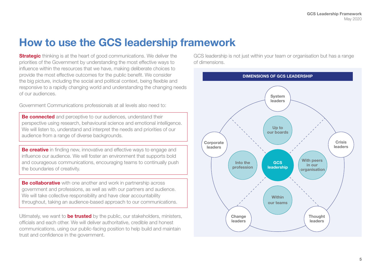### <span id="page-4-0"></span>How to use the GCS leadership framework

**Strategic** thinking is at the heart of good communications. We deliver the priorities of the Government by understanding the most effective ways to influence within the resources that we have, making deliberate choices to provide the most effective outcomes for the public benefit. We consider the big picture, including the social and political context, being flexible and responsive to a rapidly changing world and understanding the changing needs of our audiences.

Government Communications professionals at all levels also need to:

**Be connected** and perceptive to our audiences, understand their perspective using research, behavioural science and emotional intelligence. We will listen to, understand and interpret the needs and priorities of our audience from a range of diverse backgrounds.

**Be creative** in finding new, innovative and effective ways to engage and influence our audience. We will foster an environment that supports bold and courageous communications, encouraging teams to continually push the boundaries of creativity.

**Be collaborative** with one another and work in partnership across government and professions, as well as with our partners and audience. We will take collective responsibility and have clear accountability throughout, taking an audience-based approach to our communications.

Ultimately, we want to **be trusted** by the public, our stakeholders, ministers, officials and each other. We will deliver authoritative, credible and honest communications, using our public-facing position to help build and maintain trust and confidence in the government.

GCS leadership is not just within your team or organisation but has a range of dimensions.

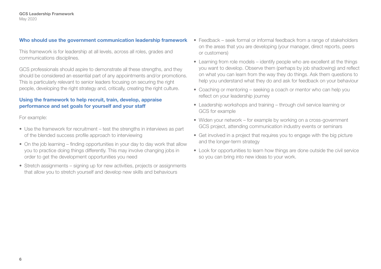#### Who should use the government communication leadership framework

This framework is for leadership at all levels, across all roles, grades and communications disciplines.

GCS professionals should aspire to demonstrate all these strengths, and they should be considered an essential part of any appointments and/or promotions. This is particularly relevant to senior leaders focusing on securing the right people, developing the right strategy and, critically, creating the right culture.

#### Using the framework to help recruit, train, develop, appraise performance and set goals for yourself and your staff

For example:

- Use the framework for recruitment test the strengths in interviews as part of the blended success profile approach to interviewing
- On the job learning finding opportunities in your day to day work that allow you to practice doing things differently. This may involve changing jobs in order to get the development opportunities you need
- Stretch assignments signing up for new activities, projects or assignments that allow you to stretch yourself and develop new skills and behaviours
- Feedback seek formal or informal feedback from a range of stakeholders on the areas that you are developing (your manager, direct reports, peers or customers)
- Learning from role models identify people who are excellent at the things you want to develop. Observe them (perhaps by job shadowing) and reflect on what you can learn from the way they do things. Ask them questions to help you understand what they do and ask for feedback on your behaviour
- Coaching or mentoring seeking a coach or mentor who can help you reflect on your leadership journey
- Leadership workshops and training through civil service learning or GCS for example
- Widen your network for example by working on a cross-government GCS project, attending communication industry events or seminars
- Get involved in a project that requires you to engage with the big picture and the longer-term strategy
- Look for opportunities to learn how things are done outside the civil service so you can bring into new ideas to your work.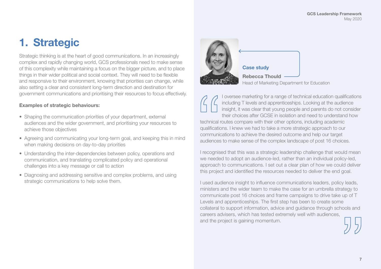### <span id="page-6-0"></span>1. Strategic

Strategic thinking is at the heart of good communications. In an increasingly complex and rapidly changing world, GCS professionals need to make sense of this complexity while maintaining a focus on the bigger picture, and to place things in their wider political and social context. They will need to be flexible and responsive to their environment, knowing that priorities can change, while also setting a clear and consistent long-term direction and destination for government communications and prioritising their resources to focus effectively.

#### Examples of strategic behaviours:

- Shaping the communication priorities of your department, external audiences and the wider government, and prioritising your resources to achieve those objectives
- Agreeing and communicating your long-term goal, and keeping this in mind when making decisions on day-to-day priorities
- Understanding the inter-dependencies between policy, operations and communication, and translating complicated policy and operational challenges into a key message or call to action
- Diagnosing and addressing sensitive and complex problems, and using strategic communications to help solve them.



I oversee marketing for a range of technical education qualifications including T levels and apprenticeships. Looking at the audience insight, it was clear that young people and parents do not consider their choices after GCSE in isolation and need to understand how technical routes compare with their other options, including academic qualifications. I knew we had to take a more strategic approach to our communications to achieve the desired outcome and help our target audiences to make sense of the complex landscape of post 16 choices.

I recognised that this was a strategic leadership challenge that would mean we needed to adopt an audience-led, rather than an individual policy-led, approach to communications. I set out a clear plan of how we could deliver this project and identified the resources needed to deliver the end goal.

I used audience insight to influence communications leaders, policy leads, ministers and the wider team to make the case for an umbrella strategy to communicate post 16 choices and frame campaigns to drive take up of T Levels and apprenticeships. The first step has been to create some collateral to support information, advice and guidance through schools and careers advisers, which has tested extremely well with audiences, and the project is gaining momentum.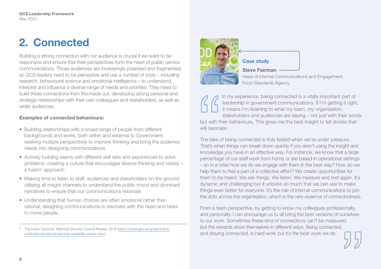## <span id="page-7-0"></span>2. Connected

Building a strong connection with our audience is crucial if we want to be responsive and ensure that their perspectives form the heart of public service communications. Those audiences are increasingly polarised and fragmented, so GCS leaders need to be perceptive and use a number of tools – including research, behavioural science and emotional intelligence – to understand, interpret and influence a diverse range of needs and priorities. They need to build these connections from the inside out, developing strong personal and strategic relationships with their own colleagues and stakeholders, as well as wider audiences.

#### Examples of connected behaviours:

- Building relationships with a broad range of people from different backgrounds and levels, both within and external to Government, seeking multiple perspectives to improve thinking and bring the audience needs into designing communications
- Actively building teams with different skill sets and experiences to solve problems; creating a culture that encourages diverse thinking and variety – a fusion<sup>1</sup> approach
- Making time to listen to staff, audiences and stakeholders on the ground; utilising all insight channels to understand the public mood and dominant narratives to ensure that our communications resonate
- Understanding that human choices are often emotional rather than rational; designing communications to resonate with the heart and head to move people.

1 The fusion doctrine, National Security Council Review 2018 [\(https://www.gov.uk/government/](https://www.gov.uk/government/publications/national-security-capability-review-nscr) [publications/national-security-capability-review-nscr](https://www.gov.uk/government/publications/national-security-capability-review-nscr))



#### Case study

Steve Fairman Head of Internal Communications and Engagement, Food Standards Agency



In my experience, being connected is a vitally important part of leadership in government communications. If I'm getting it right, it means I'm listening to what my team, my organisation,

stakeholders and audiences are saying – not just with their words but with their behaviours. This gives me the best insight to tell stories that will resonate.

The idea of being connected is truly tested when we're under pressure. That's when things can break down quickly if you aren't using the insight and knowledge you have in an effective way. For instance, we know that a large percentage of our staff work from home or are based in operational settings – so in a crisis how we do we engage with them in the best way? How do we help them to feel a part of a collective effort? We create opportunities for them to be heard. We ask things. We listen. We measure and test again. It's dynamic and challenging but it unlocks so much that we can use to make things even better for everyone. It's the role of internal communications to join the dots across the organisation, which is the very essence of connectedness.

From a team perspective, by getting to know my colleagues professionally, and personally, I can encourage us to all bring the best versions of ourselves to our work. Sometimes these kind of connections can't be measured but the rewards show themselves in different ways. Being connected, and staying connected, is hard work but it's the best work we do.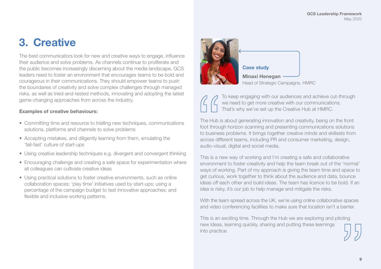### <span id="page-8-0"></span>3. Creative

The best communicators look for new and creative ways to engage, influence their audience and solve problems. As channels continue to proliferate and the public becomes increasingly discerning about the media landscape, GCS leaders need to foster an environment that encourages teams to be bold and courageous in their communications. They should empower teams to push the boundaries of creativity and solve complex challenges through managed risks, as well as tried-and-tested methods, innovating and adopting the latest game-changing approaches from across the industry.

#### Examples of creative behaviours:

- Committing time and resource to trialling new techniques, communications solutions, platforms and channels to solve problems
- Accepting mistakes, and diligently learning from them, emulating the 'fail-fast' culture of start-ups
- Using creative leadership techniques e.g. divergent and convergent thinking
- Encouraging challenge and creating a safe space for experimentation where all colleagues can cultivate creative ideas
- Using practical solutions to foster creative environments, such as online collaboration spaces; 'play time' initiatives used by start-ups; using a percentage of the campaign budget to test innovative approaches; and flexible and inclusive working patterns.





To keep engaging with our audiences and achieve cut-through we need to get more creative with our communications. That's why we've set up the Creative Hub at HMRC.

The Hub is about generating innovation and creativity, being on the front foot through horizon scanning and presenting communications solutions to business problems. It brings together creative minds and skillsets from across different teams, including PR and consumer marketing, design, audio-visual, digital and social media.

This is a new way of working and I'm creating a safe and collaborative environment to foster creativity and help the team break out of the 'normal' ways of working. Part of my approach is giving the team time and space to get curious, work together to think about the audience and data, bounce ideas off each other and build ideas. The team has licence to be bold. If an idea is risky, it's our job to help manage and mitigate the risks.

With the team spread across the UK, we're using online collaborative spaces and video conferencing facilities to make sure that location isn't a barrier.

This is an exciting time. Through the Hub we are exploring and piloting new ideas, learning quickly, sharing and putting these learnings into practice.

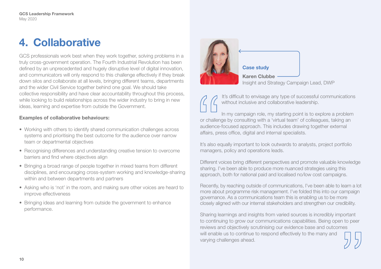### <span id="page-9-0"></span>4. Collaborative

GCS professionals work best when they work together, solving problems in a truly cross-government operation. The Fourth Industrial Revolution has been defined by an unprecedented and hugely disruptive level of digital innovation, and communicators will only respond to this challenge effectively if they break down silos and collaborate at all levels, bringing different teams, departments and the wider Civil Service together behind one goal. We should take collective responsibility and have clear accountability throughout this process, while looking to build relationships across the wider industry to bring in new ideas, learning and expertise from outside the Government.

#### Examples of collaborative behaviours:

- Working with others to identify shared communication challenges across systems and prioritising the best outcome for the audience over narrow team or departmental objectives
- Recognising differences and understanding creative tension to overcome barriers and find where objectives align
- Bringing a broad range of people together in mixed teams from different disciplines, and encouraging cross-system working and knowledge-sharing within and between departments and partners
- Asking who is 'not' in the room, and making sure other voices are heard to improve effectiveness
- Bringing ideas and learning from outside the government to enhance performance.





It's difficult to envisage any type of successful communications without inclusive and collaborative leadership.

In my campaign role, my starting point is to explore a problem or challenge by consulting with a 'virtual team' of colleagues, taking an audience-focused approach. This includes drawing together external affairs, press office, digital and internal specialists.

It's also equally important to look outwards to analysts, project portfolio managers, policy and operations leads.

Different voices bring different perspectives and promote valuable knowledge sharing. I've been able to produce more nuanced strategies using this approach, both for national paid and localised no/low cost campaigns.

Recently, by reaching outside of communications, I've been able to learn a lot more about programme risk management. I've folded this into our campaign governance. As a communications team this is enabling us to be more closely aligned with our internal stakeholders and strengthen our credibility.

Sharing learnings and insights from varied sources is incredibly important to continuing to grow our communications capabilities. Being open to peer reviews and objectively scrutinising our evidence base and outcomes will enable us to continue to respond effectively to the many and varying challenges ahead.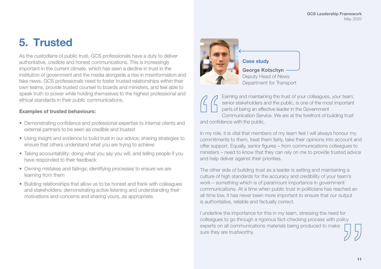### <span id="page-10-0"></span>5. Trusted

As the custodians of public trust, GCS professionals have a duty to deliver authoritative, credible and honest communications. This is increasingly important in the current climate, which has seen a decline in trust in the institution of government and the media alongside a rise in misinformation and fake news. GCS professionals need to foster trusted relationships within their own teams, provide trusted counsel to boards and ministers, and feel able to speak truth to power while holding themselves to the highest professional and ethical standards in their public communications.

#### Examples of trusted behaviours:

- Demonstrating confidence and professional expertise to internal clients and external partners to be seen as credible and trusted
- Using insight and evidence to build trust in our advice; sharing strategies to ensure that others understand what you are trying to achieve
- Taking accountability: doing what you say you will, and telling people if you have responded to their feedback
- Owning mistakes and failings; identifying processes to ensure we are learning from them
- Building relationships that allow us to be honest and frank with colleagues and stakeholders; demonstrating active listening and understanding their motivations and concerns and sharing yours, as appropriate.



#### Case study

George Kotschyn Deputy Head of News Department for Transport



Earning and maintaining the trust of your colleagues, your team, senior stakeholders and the public, is one of the most important parts of being an effective leader in the Government

Communication Service. We are at the forefront of building trust and confidence with the public.

In my role, it is vital that members of my team feel I will always honour my commitments to them, treat them fairly, take their opinions into account and offer support. Equally, senior figures – from communications colleagues to ministers – need to know that they can rely on me to provide trusted advice and help deliver against their priorities.

The other side of building trust as a leader is setting and maintaining a culture of high standards for the accuracy and credibility of your team's work – something which is of paramount importance in government communications. At a time when public trust in politicians has reached an all-time low, it has never been more important to ensure that our output is authoritative, reliable and factually correct.

I underline the importance for this in my team, stressing the need for colleagues to go through a rigorous fact-checking process with policy experts on all communications materials being produced to make sure they are trustworthy.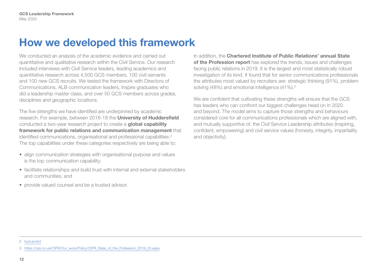### <span id="page-11-0"></span>How we developed this framework

We conducted an analysis of the academic evidence and carried out quantitative and qualitative research within the Civil Service. Our research included interviews with Civil Service leaders, leading academics and quantitative research across 4,500 GCS members, 100 civil servants and 100 new GCS recruits. We tested the framework with Directors of Communications, ALB communication leaders, Inspire graduates who did a leadership master class, and over 50 GCS members across grades, disciplines and geographic locations.

The five strengths we have identified are underpinned by academic research. For example, between 2016-18 the University of Huddersfield conducted a two-year research project to create a global capability framework for public relations and communication management that identified communications, organisational and professional capabilities.<sup>2</sup> The top capabilities under these categories respectively are being able to:

- align communication strategies with organisational purpose and values is the top communication capability;
- facilitate relationships and build trust with internal and external stakeholders and communities; and
- provide valued counsel and be a trusted advisor.

In addition, the Chartered Institute of Public Relations' annual State of the Profession report has explored the trends, issues and challenges facing public relations in 2019. It is the largest and most statistically robust investigation of its kind. It found that for senior communications professionals the attributes most valued by recruiters are: strategic thinking (91%), problem solving (48%) and emotional intelligence (41%).<sup>3</sup>

We are confident that cultivating these strengths will ensure that the GCS has leaders who can confront our biggest challenges head on in 2020 and beyond. The model aims to capture those strengths and behaviours considered core for all communications professionals which are aligned with, and mutually supportive of, the Civil Service Leadership attributes (inspiring, confident, empowering) and civil service values (honesty, integrity, impartiality and objectivity).

<sup>2</sup> [hud.ac/ect](http://hud.ac/ect)

<sup>3</sup> [https://cipr.co.uk/CIPR/Our\\_work/Policy/CIPR\\_State\\_of\\_the\\_Profession\\_2019\\_20.aspx](https://cipr.co.uk/CIPR/Our_work/Policy/CIPR_State_of_the_Profession_2019_20.aspx)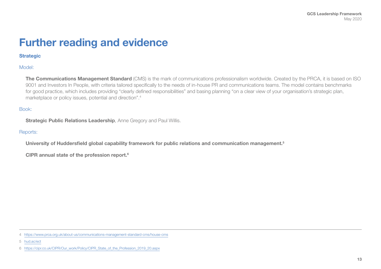### <span id="page-12-0"></span>Further reading and evidence

#### **Strategic**

#### Model:

The Communications Management Standard (CMS) is the mark of communications professionalism worldwide. Created by the PRCA, it is based on ISO 9001 and Investors In People, with criteria tailored specifically to the needs of in-house PR and communications teams. The model contains benchmarks for good practice, which includes providing "clearly defined responsibilities" and basing planning "on a clear view of your organisation's strategic plan, marketplace or policy issues, potential and direction".4

#### Book:

**Strategic Public Relations Leadership**, Anne Gregory and Paul Willis.

#### Reports:

University of Huddersfield global capability framework for public relations and communication management.<sup>5</sup>

CIPR annual state of the profession report.6

5 [hud.ac/ect](http://hud.ac/ect)

<sup>4</sup> <https://www.prca.org.uk/about-us/communications-management-standard-cms/house-cms>

<sup>6</sup> [https://cipr.co.uk/CIPR/Our\\_work/Policy/CIPR\\_State\\_of\\_the\\_Profession\\_2019\\_20.aspx](https://cipr.co.uk/CIPR/Our_work/Policy/CIPR_State_of_the_Profession_2019_20.aspx)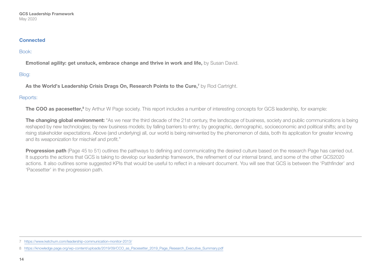#### **Connected**

#### Book:

Emotional agility: get unstuck, embrace change and thrive in work and life, by Susan David.

#### Blog:

As the World's Leadership Crisis Drags On, Research Points to the Cure,<sup>7</sup> by Rod Cartright.

#### Reports:

The COO as pacesetter,<sup>8</sup> by Arthur W Page society. This report includes a number of interesting concepts for GCS leadership, for example:

The changing global environment: "As we near the third decade of the 21st century, the landscape of business, society and public communications is being reshaped by new technologies; by new business models; by falling barriers to entry; by geographic, demographic, socioeconomic and political shifts; and by rising stakeholder expectations. Above (and underlying) all, our world is being reinvented by the phenomenon of data, both its application for greater knowing and its weaponization for mischief and profit."

**Progression path** (Page 45 to 51) outlines the pathways to defining and communicating the desired culture based on the research Page has carried out. It supports the actions that GCS is taking to develop our leadership framework, the refinement of our internal brand, and some of the other GCS2020 actions. It also outlines some suggested KPIs that would be useful to reflect in a relevant document. You will see that GCS is between the 'Pathfinder' and 'Pacesetter' in the progression path.

<sup>7</sup> <https://www.ketchum.com/leadership-communication-monitor-2013/>

<sup>8</sup> [https://knowledge.page.org/wp-content/uploads/2019/09/CCO\\_as\\_Pacesetter\\_2019\\_Page\\_Research\\_Executive\\_Summary.pdf](https://knowledge.page.org/wp-content/uploads/2019/09/CCO_as_Pacesetter_2019_Page_Research_Executive_Summary.pdf)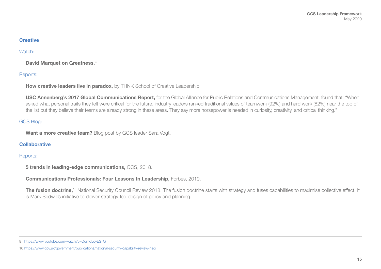#### **Creative**

#### Watch:

David Marquet on Greatness.<sup>9</sup>

#### Reports:

How creative leaders live in paradox, by THNK School of Creative Leadership

USC Annenberg's 2017 Global Communications Report, for the Global Alliance for Public Relations and Communications Management, found that: "When asked what personal traits they felt were critical for the future, industry leaders ranked traditional values of teamwork (92%) and hard work (82%) near the top of the list but they believe their teams are already strong in these areas. They say more horsepower is needed in curiosity, creativity, and critical thinking."

#### GCS Blog:

Want a more creative team? Blog post by GCS leader Sara Vogt.

#### **Collaborative**

#### Reports:

5 trends in leading-edge communications, GCS, 2018.

Communications Professionals: Four Lessons In Leadership, Forbes, 2019.

The fusion doctrine,<sup>10</sup> National Security Council Review 2018. The fusion doctrine starts with strategy and fuses capabilities to maximise collective effect. It is Mark Sedwill's initiative to deliver strategy-led design of policy and planning.

<sup>9</sup> [https://www.youtube.com/watch?v=OqmdLcyES\\_Q](https://www.youtube.com/watch?v=OqmdLcyES_Q)

<sup>10</sup> <https://www.gov.uk/government/publications/national-security-capability-review-nscr>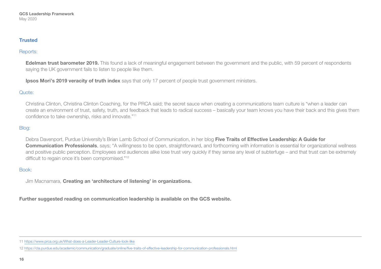#### **Trusted**

#### Reports:

**Edelman trust barometer 2019.** This found a lack of meaningful engagement between the government and the public, with 59 percent of respondents saying the UK government fails to listen to people like them.

Ipsos Mori's 2019 veracity of truth index says that only 17 percent of people trust government ministers.

#### Quote:

Christina Clinton, Christina Clinton Coaching, for the PRCA said; the secret sauce when creating a communications team culture is "when a leader can create an environment of trust, safety, truth, and feedback that leads to radical success – basically your team knows you have their back and this gives them confidence to take ownership, risks and innovate."11

#### Blog:

Debra Davenport, Purdue University's Brian Lamb School of Communication, in her blog Five Traits of Effective Leadership: A Guide for **Communication Professionals**, says; "A willingness to be open, straightforward, and forthcoming with information is essential for organizational wellness and positive public perception. Employees and audiences alike lose trust very quickly if they sense any level of subterfuge – and that trust can be extremely difficult to regain once it's been compromised."12

#### Book:

Jim Macnamara, Creating an 'architecture of listening' in organizations.

Further suggested reading on communication leadership is available on the GCS website.

<sup>11</sup> <https://www.prca.org.uk/What-does-a-Leader-Leader-Culture-look-like>

<sup>12</sup> <https://cla.purdue.edu/academic/communication/graduate/online/five-traits-of-effective-leadership-for-communication-professionals.html>